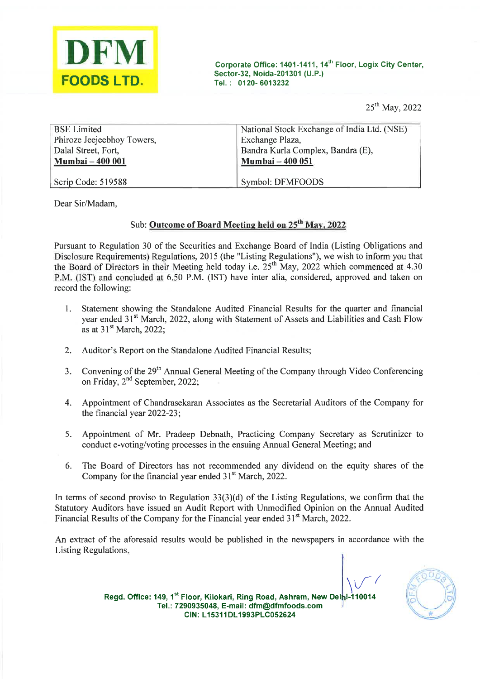

| DFM                                              |                                                                                                                                 |
|--------------------------------------------------|---------------------------------------------------------------------------------------------------------------------------------|
| <b>FOODS LTD.</b>                                | Corporate Office: 1401-1411, 14 <sup>th</sup> Floor, Logix City Center,<br>Sector-32, Noida-201301 (U.P.)<br>Tel.: 0120-6013232 |
|                                                  | 25 <sup>th</sup> May, 2022                                                                                                      |
| <b>BSE</b> Limited<br>Phiroze Jeejeebhoy Towers, | National Stock Exchange of India Ltd. (NSE)<br>Exchange Plaza,                                                                  |
| Dalal Street, Fort,<br>Mumbai - 400 001          | Bandra Kurla Complex, Bandra (E),<br>Mumbai - 400 051                                                                           |
| Scrip Code: 519588                               | Symbol: DFMFOODS                                                                                                                |

Dear Sir/Madam,

### Sub: Outcome of Board Meeting held on 25<sup>th</sup> May, 2022

Pursuant to Regulation 30 of the Securities and Exchange Board of India (Listing Obligations and Disclosure Requirements) Regulations, 2015 (the "Listing Regulations"), we wish to inform you that the Board of Directors in their Meeting held today i.e.  $25<sup>th</sup>$  May, 2022 which commenced at 4.30 P.M. (IST) and concluded at 6.50 P.M. (IST) have inter alia, considered, approved and taken on record the following:

- 1, Statement showing the Standalone Audited Financial Results for the quarter and financial year ended 31<sup>st</sup> March, 2022, along with Statement of Assets and Liabilities and Cash Flow as at  $31<sup>st</sup>$  March, 2022;
- $2.$ Auditor's Report on the Standalone Audited Financial Results;
- Convening of the 29<sup>th</sup> Annual General Meeting of the Company through Video Conferencing  $3.$ on Friday,  $2<sup>nd</sup>$  September, 2022;
- Appointment of Chandrasekaran Associates as the Secretarial Auditors of the Company for  $4.$ the financial year 2022-23;
- 5. Appointment of Mr. Pradeep Debnath, Practicing Company Secretary as Scrutinizer to conduct e-voting/voting processes in the ensuing Annual General Meeting; and
- The Board of Directors has not recommended any dividend on the equity shares of the 6. Company for the financial year ended  $31<sup>st</sup>$  March, 2022.

In terms of second proviso to Regulation  $33(3)(d)$  of the Listing Regulations, we confirm that the Statutory Auditors have issued an Audit Report with Unmodified Opinion on the Annual Audited Financial Results of the Company for the Financial year ended 31<sup>st</sup> March, 2022.

An extract of the aforesaid results would be published in the newspapers in accordance with the Listing Regulations.

 $V^{\prime}$ 



Regd. Office: 149, 1<sup>st</sup> Floor, Kilokari, Ring Road, Ashram, New Delhi-110014 Tel.: 7290935048, E-mail: dfm@dfmfoods.com \ oe CIN: L15311DL1993PLC052624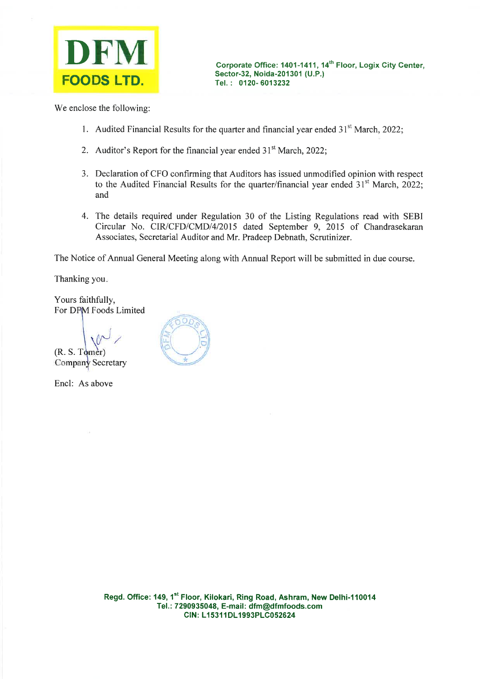

We enclose the following:

- 1. Audited Financial Results for the quarter and financial year ended  $31<sup>st</sup>$  March, 2022;
- 2. Auditor's Report for the financial year ended  $31<sup>st</sup>$  March, 2022;
- 3. Declaration of CFO confirming that Auditors has issued unmodified opinion with respect to the Audited Financial Results for the quarter/financial year ended  $31<sup>st</sup>$  March, 2022; and
- 4. The details required under Regulation 30 of the Listing Regulations read with SEBI Circular No. CIR/CFD/CMD/4/2015 dated September 9, 2015 of Chandrasekaran Associates, Secretarial Auditor and Mr. Pradeep Debnath, Scrutinizer.

The Notice of Annual General Meeting along with Annual Report will be submitted in due course.

Thanking you.

Yours faithfully, For DFM Foods Limited

 $(R. S. T<sub>o</sub>)$ Company Secretary

Encl: As above

 $\omega$ ,  $\mathbb{E}$  3

Regd. Office: 149, 1<sup>st</sup> Floor, Kilokari, Ring Road, Ashram, New Delhi-110014 Tel.: 7290935048, E-mail: dfm@dfmfoods.com CIN: L15311DL1993PLC052624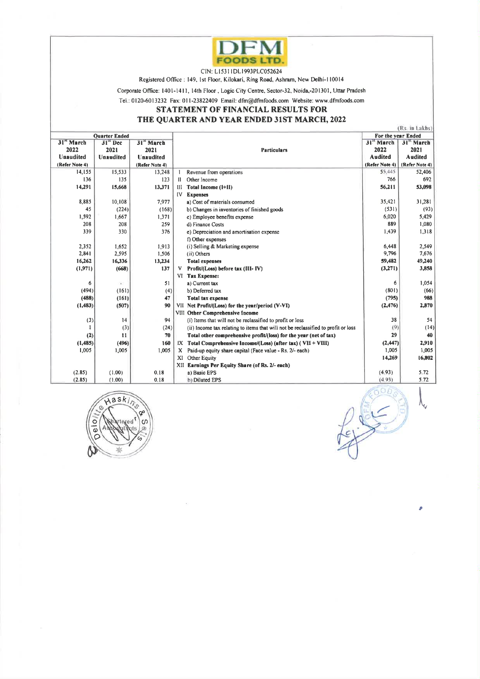

## STATEMENT OF FINANCIAL RESULTS FOR

### THE QUARTER AND YEAR ENDED 31ST MARCH, 2022

|                                                  |                                        |                                                                      |                                                                                                                               | <b>DFM</b>                                                                                                                                                                                                                                                                              |                                                                   |                                                            |  |
|--------------------------------------------------|----------------------------------------|----------------------------------------------------------------------|-------------------------------------------------------------------------------------------------------------------------------|-----------------------------------------------------------------------------------------------------------------------------------------------------------------------------------------------------------------------------------------------------------------------------------------|-------------------------------------------------------------------|------------------------------------------------------------|--|
|                                                  |                                        |                                                                      | CIN: L15311DL1993PLC052624                                                                                                    | <b>FOODS LTD.</b><br>Registered Office: 149, 1st Floor, Kilokari, Ring Road, Ashram, New Delhi-110014                                                                                                                                                                                   |                                                                   |                                                            |  |
|                                                  |                                        |                                                                      |                                                                                                                               | Corporate Office: 1401-1411, 14th Floor, Logic City Centre, Sector-32, Noida,-201301, Uttar Pradesh<br>Tel.: 0120-6013232 Fax: 011-23822409 Email: dfm@dfmfoods.com Website: www.dfmfoods.com<br>STATEMENT OF FINANCIAL RESULTS FOR                                                     |                                                                   |                                                            |  |
|                                                  | <b>Quarter Ended</b>                   |                                                                      |                                                                                                                               | THE QUARTER AND YEAR ENDED 31ST MARCH, 2022                                                                                                                                                                                                                                             | For the year Ended                                                | (Rs. in Lakhs)                                             |  |
| 31" March<br>2022<br>Unaudited<br>(Refer Note 4) | $31^{\circ}$ Dec<br>2021<br>Unaudited  | 31 <sup>31</sup> March<br>2021<br><b>Unaudited</b><br>(Refer Note 4) |                                                                                                                               | <b>Particulars</b>                                                                                                                                                                                                                                                                      | 31 <sup>"</sup> March<br>2022<br><b>Audited</b><br>(Refer Note 4) | 31 <sup>x</sup> March<br>2021<br>Audited<br>(Refer Note 4) |  |
| 14,155<br>136<br>14,291                          | 15,533<br>135<br>15,668                | 13,248<br>123<br>13,371                                              | Revenue from operations<br>Il Other income<br>III Total Income (I+II)                                                         |                                                                                                                                                                                                                                                                                         | 55,445<br>766<br>56,211                                           | 52,406<br>692<br>53,098                                    |  |
| 8,885<br>45                                      | 10,108<br>(224)                        | 7,977<br>(168)                                                       | IV Expenses<br>a) Cost of materials consumed<br>b) Changes in inventories of finished goods                                   |                                                                                                                                                                                                                                                                                         | 35,421<br>(531)                                                   | 31,281<br>(93)                                             |  |
| 1,592<br>208<br>339                              | 1,667<br>208<br>330                    | 1,371<br>259<br>376                                                  | c) Employee benefits expense<br>d) Finance Costs<br>e) Depreciation and amortisation expense                                  |                                                                                                                                                                                                                                                                                         | 6,020<br>889<br>1,439                                             | 5,429<br>1,080<br>1,318                                    |  |
| 2,352<br>2,841                                   | 1,652<br>2,595                         | 1,913<br>1,506                                                       | f) Other expenses<br>(i) Selling & Marketing expense<br>(ii) Others                                                           |                                                                                                                                                                                                                                                                                         | 6,448<br>9,796                                                    | 2,549<br>7,676                                             |  |
| 16,262<br>(1,971)                                | 16,336<br>(668)                        | 13,234<br>137                                                        | <b>Total expenses</b><br>V Profit/(Loss) before tax (III- IV)                                                                 |                                                                                                                                                                                                                                                                                         | 59,482<br>(3,271)                                                 | 49,240<br>3,858                                            |  |
| 6<br>(494)<br>(488)                              | $\bullet$<br>(161)<br>(161)<br>(507)   | 51<br>(4)<br>47<br>90                                                | VI Tax Expense:<br>a) Current tax<br>b) Deferred tax<br>Total tax expense<br>VII Net Profit/(Loss) for the year/period (V-VI) |                                                                                                                                                                                                                                                                                         | 6<br>(801)<br>(795)<br>(2, 476)                                   | 1,054<br>(66)<br>988                                       |  |
| (1, 483)<br>(3)<br>1                             | 14                                     | 94                                                                   | VIII Other Comprehensive Income                                                                                               | (i) Items that will not be reclassified to profit or loss                                                                                                                                                                                                                               | 38<br>(9)                                                         | 2,870<br>54                                                |  |
| (2)<br>(1,485)<br>1,005                          | (3)<br>$\mathbf{11}$<br>(496)<br>1,005 | (24)<br>70<br>160<br>1,005                                           | XI Other Equity                                                                                                               | (ii) Income tax relating to items that will not be reclassified to profit or loss<br>Total other comprehensive profit/(loss) for the year (net of tax)<br>$IX$ Total Comprehensive Income/(Loss) (after tax) (VII + VIII)<br>X Paid-up equity share capital (Face value - Rs. 2/- each) | 29<br>(2,447)<br>1,005<br>14,269                                  | (14)<br>40<br>2,910<br>1,005<br>16,802                     |  |
| (2.85)<br>(2.85)                                 | (1.00)<br>(1.00)                       | 0.18<br>0.18                                                         | XII Earnings Per Equity Share (of Rs. 2/- each)<br>a) Basic EPS<br>b) Diluted EPS                                             |                                                                                                                                                                                                                                                                                         | (4.93)<br>(4.93)                                                  | 5.72<br>5.72                                               |  |

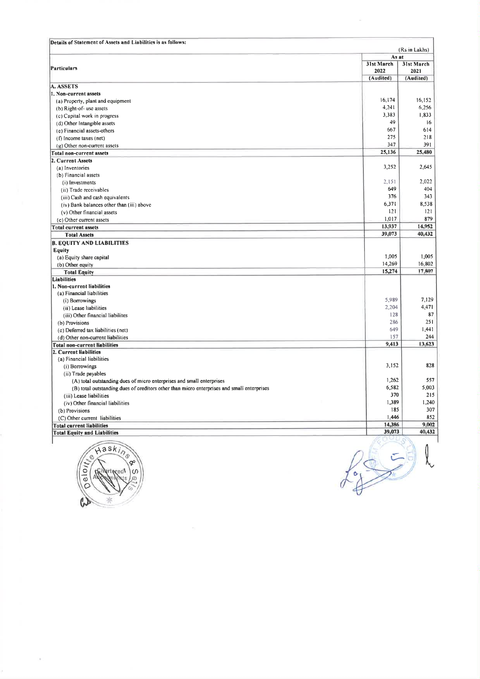|                                                                                                                                                                                                                                                                                                                                                                                                                                                     |                                 | (Rs.in Lakhs)                                                                                                                                                                    |
|-----------------------------------------------------------------------------------------------------------------------------------------------------------------------------------------------------------------------------------------------------------------------------------------------------------------------------------------------------------------------------------------------------------------------------------------------------|---------------------------------|----------------------------------------------------------------------------------------------------------------------------------------------------------------------------------|
|                                                                                                                                                                                                                                                                                                                                                                                                                                                     | As at<br>31st March<br>2022     | 31st March<br>2021                                                                                                                                                               |
|                                                                                                                                                                                                                                                                                                                                                                                                                                                     | (Audited)                       | (Audited)                                                                                                                                                                        |
|                                                                                                                                                                                                                                                                                                                                                                                                                                                     | 16,174<br>4,241<br>3,383        | 1,833                                                                                                                                                                            |
|                                                                                                                                                                                                                                                                                                                                                                                                                                                     | 49<br>667<br>275                | 614                                                                                                                                                                              |
|                                                                                                                                                                                                                                                                                                                                                                                                                                                     | 347<br>25,136                   |                                                                                                                                                                                  |
| (a) Inventories<br>(b) Financial assets<br>(i) Investments                                                                                                                                                                                                                                                                                                                                                                                          | 3,252<br>2,151                  |                                                                                                                                                                                  |
| (ii) Trade receivables<br>(iii) Cash and cash equivalents<br>(iv) Bank balances other than (iii) above                                                                                                                                                                                                                                                                                                                                              | 649<br>376<br>6,371             |                                                                                                                                                                                  |
| (v) Other financial assets<br>(c) Other current assets                                                                                                                                                                                                                                                                                                                                                                                              | 121<br>1,017<br>13,937          |                                                                                                                                                                                  |
| <b>Total Assets</b>                                                                                                                                                                                                                                                                                                                                                                                                                                 | 39,073                          |                                                                                                                                                                                  |
| (a) Equity share capital<br>(b) Other equity                                                                                                                                                                                                                                                                                                                                                                                                        | 1,005<br>14,269<br>15,274       | 391                                                                                                                                                                              |
| (a) Property, plant and equipment<br>(b) Right-of- use assets<br>(c) Capital work in progress<br>(d) Other Intangible assets<br>(e) Financial assets-others<br>(f) Income taxes (net)<br>(g) Other non-current assets<br><b>Total Equity</b><br>(a) Financial liabilities                                                                                                                                                                           |                                 |                                                                                                                                                                                  |
| (i) Borrowings<br>(ii) Lease liabilities                                                                                                                                                                                                                                                                                                                                                                                                            | 5,989<br>2,204<br>128           |                                                                                                                                                                                  |
| Details of Statement of Assets and Liabilities is as follows:<br><b>Particulars</b><br>A. ASSETS<br>1. Non-current assets<br><b>Total non-current assets</b><br>2. Current Assets<br><b>Total current assets</b><br><b>B. EQUITY AND LIABILITIES</b><br>Equity<br><b>Liabilities</b><br>1. Non-current liabilities<br>(iii) Other financial liabilites<br>(b) Provisions<br>(c) Deferred tax liabilities (net)<br>(d) Other non-current liabilities | 286<br>649<br>157               | 16,152<br>6,256<br>16                                                                                                                                                            |
|                                                                                                                                                                                                                                                                                                                                                                                                                                                     | 9,413                           | $218$<br>25,480<br>2,645<br>2,022<br>404<br>343<br>8,538<br>121<br>879<br>14,952<br>40,432<br>1,005<br>16,802<br>17,807<br>7,129<br>4,471<br>87<br>251<br>1,441<br>244<br>13,623 |
| <b>Total non-current liabilities</b><br>2. Current liabilities<br>(a) Financial liabilities<br>(i) Borrowings<br>(ii) Trade payables                                                                                                                                                                                                                                                                                                                | 3,152<br>1,262                  | 828<br>557                                                                                                                                                                       |
| (A) total outstanding dues of micro enterprises and small enterprises<br>(B) total outstanding dues of creditors other than micro enterprises and small enterprises<br>(iii) Lease liabilities                                                                                                                                                                                                                                                      | 6,582<br>370                    | 5,003<br>$215$                                                                                                                                                                   |
| (iv) Other financial liabilities<br>(b) Provisions<br>(C) Other current liabilities<br><b>Total current liabilities</b>                                                                                                                                                                                                                                                                                                                             | 1,389<br>185<br>1,446<br>14,386 | 1,240<br>307<br>852<br>9,002                                                                                                                                                     |



 $f_2 = 3$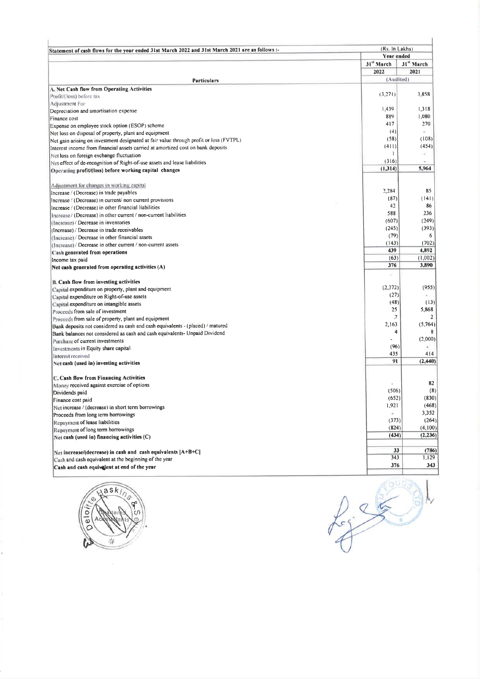| Statement of cash flows for the year ended 31st March 2022 and 31st March 2021 are as follows :-                                                                                                                                                                                                            | (Rs. In Lakhs)                                                              |
|-------------------------------------------------------------------------------------------------------------------------------------------------------------------------------------------------------------------------------------------------------------------------------------------------------------|-----------------------------------------------------------------------------|
|                                                                                                                                                                                                                                                                                                             | <b>Year ended</b><br>31" March<br>31" March<br>2022<br>2021                 |
| <b>Particulars</b><br>A. Net Cash flow from Operating Activities<br>Profit/(loss) before tax                                                                                                                                                                                                                | (Audited)<br>3,858<br>(3,271)                                               |
| Adjustment For:<br>Depreciation and amortisation expense                                                                                                                                                                                                                                                    | 1,439<br>1,318<br>889<br>1,080                                              |
| Finance cost<br>Expense on employee stock option (ESOP) scheme<br>Net loss on disposal of property, plant and equipment                                                                                                                                                                                     | 270<br>417<br>(4)<br>$\mathcal{M}$<br>(58)<br>(108)                         |
| Net gain arising on investment designated at fair value through profit or loss (FVTPL)<br>Interest income from financial assets carried at amortized cost on bank deposits<br>Net loss on foreign exchange fluctuation                                                                                      | (411)<br>(454)<br>÷.                                                        |
| Net effect of de-recognition of Right-of-use assets and lease liabilities<br>Operating profit/(loss) before working capital changes                                                                                                                                                                         | $\mathbf{I}$                                                                |
|                                                                                                                                                                                                                                                                                                             | (316)<br>on :<br>(1,314)<br>5,964                                           |
| Adjustment for changes in working capital<br>Increase / (Decrease) in current/ non current provisions                                                                                                                                                                                                       | 2,284<br>85<br>(87)<br>(141)                                                |
|                                                                                                                                                                                                                                                                                                             | 86<br>42<br>588<br>236<br>(249)<br>(607)                                    |
| Increase / (Decrease) in trade payables<br>Increase / (Decrease) in other financial liabilities<br>Increase/ (Decrease) in other current / non-current liabilities<br>(Increase) / Decrease in inventories<br>(Increase) / Decrease in trade receivables<br>(Increase) / Decrease in other financial assets | (393)<br>(245)<br>(79)<br>6<br>(702)<br>(143)                               |
| (Increase) / Decrease in other current / non-current assets<br>Cash generated from operations<br>Income tax paid                                                                                                                                                                                            | 439<br>4,892<br>(63)<br>(1,002)<br>3,890<br>376                             |
| Net cash generated from operating activities (A)<br><b>B. Cash flow from investing activities</b>                                                                                                                                                                                                           | F.<br>(2,372)<br>(955)                                                      |
| Capital expenditure on property, plant and equipment<br>Capital expenditure on Right-of-use assets<br>Capital expenditure on intangible assets                                                                                                                                                              | (27)<br>×<br>(48)<br>(13)<br>25<br>5,868                                    |
| Proceeds from sale of investment<br>Proceeds from sale of property, plant and equipment<br>Bank deposits not considered as cash and cash equivalents - (placed) / matured                                                                                                                                   | $\jmath$<br>$\overline{2}$<br>2,163<br>(5,764)<br>$\overline{\bf{4}}$<br>8  |
| Bank balances not considered as cash and cash equivalents- Unpaid Dividend<br>Purchase of current investments<br>Investments in Equity share capital                                                                                                                                                        | (2,000)<br>$\overline{a}$<br>(96)<br>$\overline{\phantom{a}}$<br>435<br>414 |
| Interest received<br>Net cash (used in) investing activities                                                                                                                                                                                                                                                | 91<br>(2,440)                                                               |
| C. Cash flow from Financing Activities<br>Money received against exercise of options<br>Dividends paid                                                                                                                                                                                                      | 82<br>$\omega$<br>(8)<br>(506)                                              |
| Finance cost paid<br>Net increase / (decrease) in short term borrowings<br>Proceeds from long term borrowings                                                                                                                                                                                               | (830)<br>(652)<br>(468)<br>1,921<br>3,352<br>×                              |
| Repayment of lease liabilities<br>Repayment of long term borrowings<br>Net cash (used in) financing activities (C)                                                                                                                                                                                          | (264)<br>(373)<br>(4,100)<br>(824)<br>(2, 236)<br>(434)                     |
| Net increase/(decrease) in cash and cash equivalents [A+B+C]<br>Cash and cash equivalent at the beginning of the year<br>Cash and cash equivalent at end of the year                                                                                                                                        | 33<br>(786)<br>343<br>1,129<br>376<br>343                                   |



ł.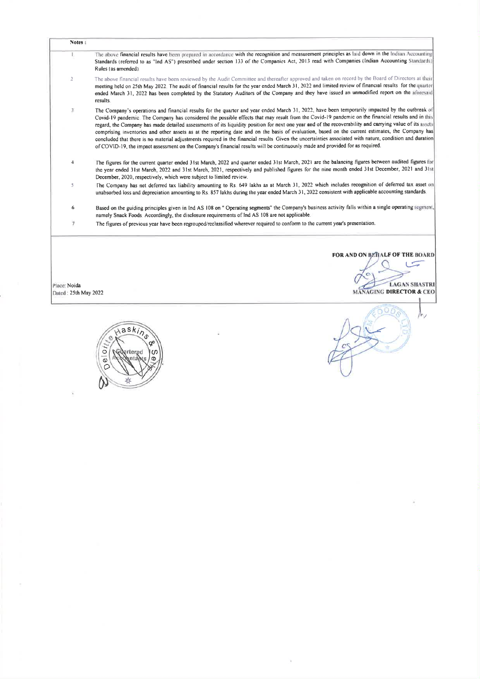| Notes:                               |                                                                                                                                                                                                                                                                                                                                                                                                                                                                                                                                                                                                                                                                                                                                                                                                                                                                                                                                            |
|--------------------------------------|--------------------------------------------------------------------------------------------------------------------------------------------------------------------------------------------------------------------------------------------------------------------------------------------------------------------------------------------------------------------------------------------------------------------------------------------------------------------------------------------------------------------------------------------------------------------------------------------------------------------------------------------------------------------------------------------------------------------------------------------------------------------------------------------------------------------------------------------------------------------------------------------------------------------------------------------|
| T.<br>$\overline{2}$                 | The above financial results have been prepared in accordance with the recognition and measurement principles as laid down in the Indian Accounting<br>Standards (referred to as "Ind AS") prescribed under section 133 of the Companies Act, 2013 read with Companies (Indian Accounting Standards)<br>Rules (as amended).<br>The above financial results have been reviewed by the Audit Committee and thereafter approved and taken on record by the Board of Directors at their                                                                                                                                                                                                                                                                                                                                                                                                                                                         |
| $\mathbf{3}$                         | meeting held on 25th May 2022. The audit of financial results for the year ended March 31, 2022 and limited review of financial results for the quarter<br>ended March 31, 2022 has been completed by the Statutory Auditors of the Company and they have issued an unmodified report on the aforesaid<br>results<br>The Company's operations and financial results for the quarter and year ended March 31, 2022, have been temporarily impacted by the outbreak of<br>Covid-19 pandemic. The Company has considered the possible effects that may result from the Covid-19 pandemic on the financial results and in this<br>regard, the Company has made detailed assessments of its liquidity position for next one year and of the recoverability and carrying value of its assets<br>comprising inventories and other assets as at the reporting date and on the basis of evaluation, based on the current estimates, the Company has |
| $\overline{4}$                       | concluded that there is no material adjustments required in the financial results Given the uncertainties associated with nature, condition and duration<br>of COVID-19, the impact assessment on the Company's financial results will be continuously made and provided for as required.<br>The figures for the current quarter ended 31st March, 2022 and quarter ended 31st March, 2021 are the balancing figures between audited figures for<br>the year ended 31st March, 2022 and 31st March, 2021, respectively and published figures for the nine month ended 31st December, 2021 and 31st<br>December, 2020, respectively, which were subject to limited review.                                                                                                                                                                                                                                                                  |
| 5<br>6<br>$7\,$                      | The Company has net deferred tax liability amounting to Rs. 649 lakhs as at March 31, 2022 which includes recognition of deferred tax asset on<br>unabsorbed loss and depreciation amounting to Rs 857 lakhs during the year ended March 31, 2022 consistent with applicable accounting standards.<br>Based on the guiding principles given in Ind AS 108 on " Operating segments" the Company's business activity falls within a single operating segment,<br>namely Snack Foods. Accordingly, the disclosure requirements of Ind AS 108 are not applicable.<br>The figures of previous year have been regrouped/reclassified wherever required to conform to the current year's presentation.                                                                                                                                                                                                                                            |
|                                      |                                                                                                                                                                                                                                                                                                                                                                                                                                                                                                                                                                                                                                                                                                                                                                                                                                                                                                                                            |
|                                      | FOR AND ON BEHALF OF THE BOARD                                                                                                                                                                                                                                                                                                                                                                                                                                                                                                                                                                                                                                                                                                                                                                                                                                                                                                             |
| Place: Noida<br>Dated: 25th May 2022 | <b>LAGAN SHASTRI</b><br><b>MANAGING DIRECTOR &amp; CEO</b>                                                                                                                                                                                                                                                                                                                                                                                                                                                                                                                                                                                                                                                                                                                                                                                                                                                                                 |

 $\mathcal{H}^{\mathcal{A}}$  .

 $\tilde{\lambda}$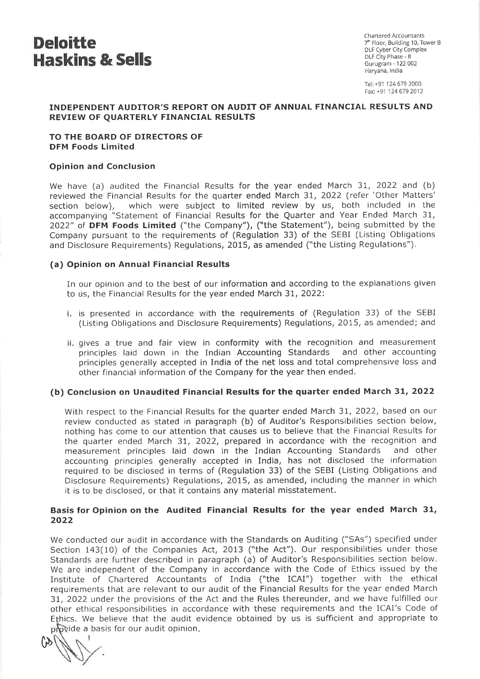

Chartered Accountants<br>7<sup>th</sup> Floor, Building 10, Tower B Haryana, India

Tel: +91 124679 2000 Fax. +91 124679 2012

#### INDEPENDENT AUDITOR'S REPORT ON AUDIT OF ANNUAL FINANCIAL RESULTS AND REVIEW OF QUARTERLY FINANCIAL RESULTS

#### TO THE BOARD OF DIRECTORS OF DFM Foods Limited

#### Opinion and Conclusion

We have (a) audited the Financial Results for the year ended March 31, 2022 and (b) reviewed the Financial Results for the quarter ended March 31, 2022 (refer 'Other Matters' section below), which were subject to limited review by us, both included in the accompanying "Statement of Financial Results for the Quarter and Year Ended March 31, 2022" of DFM Foods Limited ("the Company"), ("the Statement"), being submitted by the Company pursuant to the requirements of (Regulation 33) of the SEBI (Listing Obligations and Disclosure Requirements) Regulations, 2015, as amended ("the Listing Regulations").

#### (a) Opinion on Annual Financial Results

In our opinion and to the best of our information and according to the explanations given to us, the Financial Results for the year ended March 31, 2022:

- i. is presented in accordance with the requirements of (Regulation 33) of the SEBI (Listing Obligations and Disclosure Requirements) Regulations, 2015, as amended; and
- ii. gives a true and fair view in conformity with the recognition and measurement principles laid down in the Indian Accounting Standards and other accounting principles generally accepted in India of the net loss and total comprehensive loss and other financial information of the Company for the year then ended.

#### (b) Conclusion on Unaudited Financial Results for the quarter ended March 31, 2022

With respect to the Financial Results for the quarter ended March 31, 2022, based on our review conducted as stated in paragraph (b) of Auditor's Responsibilities section below, nothing has come to our attention that causes us to believe that the Financial Results for the quarter ended March 31, 2022, prepared in accordance with the recognition and measurement principles laid down in the Indian Accounting Standards and other accounting principles generally accepted in India, has not disclosed the information required to be disclosed in terms of (Regulation 33) of the SEBI (Listing Obligations and Disclosure Requirements) Regulations, 2015, as amended, including the manner in which it is to be disclosed, or that it contains any material misstatement.

#### Basis for Opinion on the Audited Financial Results for the year ended March 31, 2022

We conducted our audit in accordance with the Standards on Auditing ("SAs") specified under Section 143(10) of the Companies Act, 2013 ("the Act"). Our responsibilities under those Standards are further described in paragraph (a) of Auditor's Responsibilities section below. We are independent of the Company in accordance with the Code of Ethics issued by the Institute of Chartered Accountants of India ("the ICAI") together with the ethical requirements that are relevant to our audit of the Financial Results for the year ended March 31, 2022 under the provisions of the Act and the Rules thereunder, and we have fulfilled our other ethical responsibilities in accordance with these requirements and the ICAI's Code of Ethics. We believe that the audit evidence obtained by us is sufficient and appropriate to<br>provide a basis for our audit opinion. provide a basis for our audit opinion.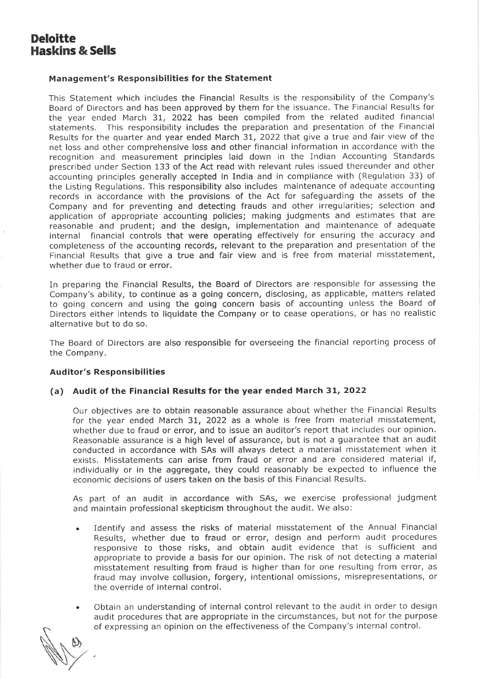# Deloitte Haskins & Sells

#### Management's Responsibilities for the Statement

This Statement which includes the Financial Results is the responsibility of the Company's Board of Directors and has been approved by them for the issuance. The Financial Results for the year ended March 31, 2022 has been compiled from the related audited financial statements. This responsibility includes the preparation and presentation of the Financial Results for the quarter and year ended March 31, 2022 that give a true and fair view of the net loss and other comprehensive loss and other financial information in accordance with the recognition and measurement principles laid down in the Indian Accounting Standards prescribed under Section 133 of the Act read with relevant rules issued thereunder and other accounting principles generally accepted in India and in compliance with (Regulation 33) of the Listing Regulations. This responsibility also includes maintenance of adequate accounting records in accordance with the provisions of the Act for safeguarding the assets of the Company and for preventing and detecting frauds and other irregularities; selection and application of appropriate accounting policies; making judgments and estimates that are reasonable and prudent; and the design, implementation and maintenance of adequate internal financial controls that were operating effectively for ensuring the accuracy and completeness of the accounting records, relevant to the preparation and presentation of the Financial Results that give a true and fair view and is free from material misstatement, whether due to fraud or error.

In preparing the Financial Results, the Board of Directors are responsible for assessing the Company's ability, to continue as a going concern, disclosing, as applicable, matters related to going concern and using the going concern basis of accounting unless the Board of Directors either intends to liquidate the Company or to cease operations, or has no realistic alternative but to do so.

The Board of Directors are also responsible for overseeing the financial reporting process of the Company.

#### Auditor's Responsibilities

#### (a) Audit of the Financial Results for the year ended March 31, 2022

Our objectives are to obtain reasonable assurance about whether the Financial Results for the year ended March 31, 2022 as a whole is free from material misstatement, whether due to fraud or error, and to issue an auditor's report that includes our opinion. Reasonable assurance is a high level of assurance, but is not a guarantee that an audit conducted in accordance with SAs will always detect <sup>a</sup> material misstatement when it exists. Misstatements can arise from fraud or error and are considered material if, individually or in the aggregate, they could reasonably be expected to influence the economic decisions of users taken on the basis of this Financial Results.

As part of an audit in accordance with SAs, we exercise professional judgment and maintain professional skepticism throughout the audit. We also:

- Identify and assess the risks of material misstatement of the Annual Financial Results, whether due to fraud or error, design and perform audit procedures responsive to those risks, and obtain audit evidence that is sufficient and appropriate to provide a basis for our opinion. The risk of not detecting a material misstatement resulting from fraud is higher than for one resulting from error, as fraud may involve collusion, forgery, intentional omissions, misrepresentations, or the override of internal control.
- <sup>e</sup> Obtain an understanding of interna! control relevant to the audit in order to design audit procedures that are appropriate in the circumstances, but not for the purpose of expressing an opinion on the effectiveness of the Company's internal control.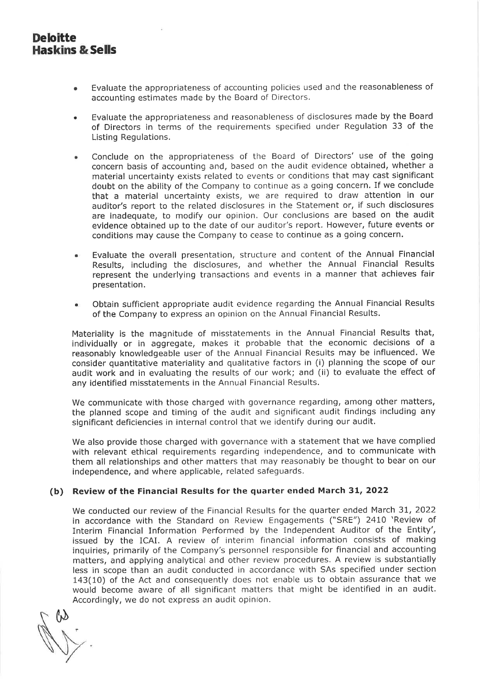- Evaluate the appropriateness of accounting policies used and the reasonableness of accounting estimates made by the Board of Directors.
- <sup>e</sup> Evaluate the appropriateness and reasonablenessof disclosures made by the Board of Directors in terms of the requirements specified under Regulation 33 of the Listing Regulations.
- Conclude on the appropriateness of the Board of Directors' use of the going concern basis of accounting and, based on the audit evidence obtained, whether a material uncertainty exists related to events or conditions that may cast significant doubt on the ability of the Company to continue as <sup>a</sup> going concern. If we conclude that a material uncertainty exists, we are required to draw attention in our auditor's report to the related disclosures in the Statement or, if such disclosures are inadequate, to modify our opinion. Our conclusions are based on the audit evidence obtained up to the date of our auditor's report. However, future events or conditions may cause the Company to cease to continue as <sup>a</sup> going concern.
- Evaluate the overall presentation, structure and content of the Annual Financial Results, including the disclosures, and whether the Annual Financial Results represent the underlying transactions and events in a manner that achieves fair presentation.
- <sup>e</sup> Obtain sufficient appropriate audit evidence regarding the Annual Financial Results of the Company to express an opinion on the Annual Financial Results.

Materiality is the magnitude of misstatements in the Annual Financial Results that, individually or in aggregate, makes it probable that the economic decisions of a reasonably knowledgeable user of the Annual Financial Results may be influenced. We consider quantitative materiality and qualitative factors in (i) planning the scope of our audit work and in evaluating the results of our work; and (ii) to evaluate the effect of any identified misstatements in the Annual Financial Results.

We communicate with those charged with governance regarding, among other matters, the planned scope and timing of the audit and significant audit findings including any significant deficiencies in internal control that we identify during our audit.

We also provide those charged with governance with <sup>a</sup> statement that we have complied with relevant ethical requirements regarding independence, and to communicate with them all relationships and other matters that may reasonably be thought to bear on our independence, and where applicable, related safeguards.

## (b) Review of the Financial Results for the quarter ended March 31, 2022

We conducted our review of the Financial Results for the quarter ended March 31, 2022 in accordance with the Standard on Review Engagements ("SRE") 2410 'Review of Interim Financial Information Performed by the Independent Auditor of the Entity', issued by the ICAI. A review of interim financial information consists of making inquiries, primarily of the Company's personnel responsible for financial and accounting matters, and applying analytical and other review procedures. A review is substantially less in scope than an audit conducted in accordance with SAs specified under section 143(10) of the Act and consequently does not enable us to obtain assurance that we would become aware of all significant matters that might be identified in an audit. Accordingly, we do not express an audit opinion.

r Y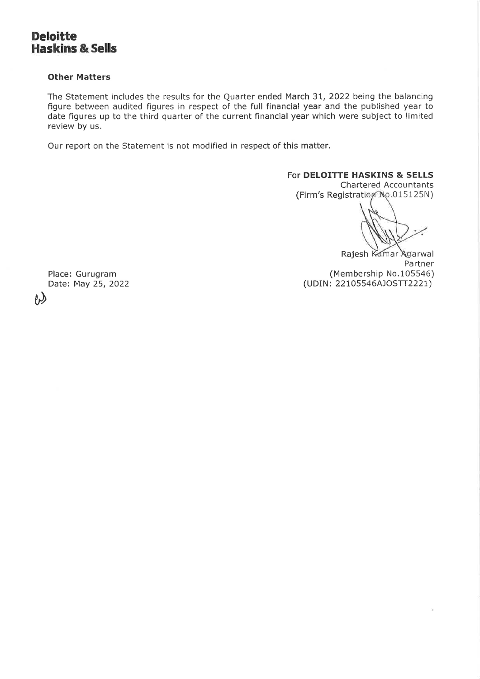# Deloitte Haskins & Sells

#### Other Matters

The Statement includes the results for the Quarter ended March 31, 2022 being the balancing figure between audited figures in respect of the full financial year and the published year to date figures up to the third quarter of the current financial year which were subject to limited review by us.

Our report on the Statement is not modified in respect of this matter.

#### For DELOITTE HASKINS & SELLS

Chartered Accountants (Firm's Registration No.015125N)

Rajesh Kumar Agarwal Partner Place: Gurugram (Membership No.105546) Date: May 25, 2022 (UDIN: 22105546AJOSTT2221)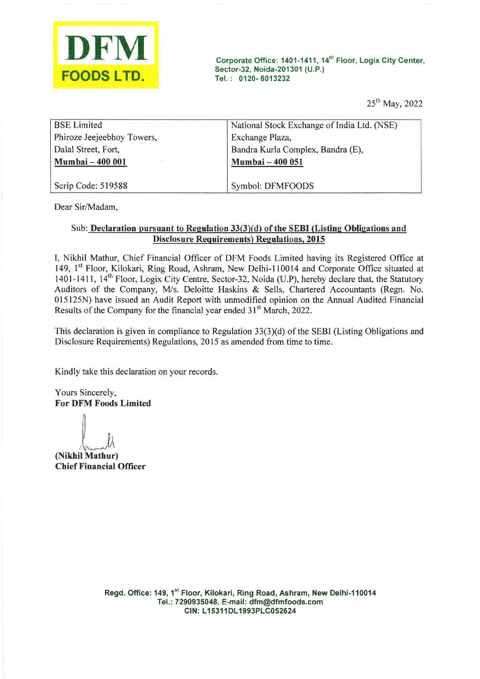

| DFM                                               | Corporate Office: 1401-1411, 14 <sup>th</sup> Floor, Logix City Center,<br>Sector-32, Noida-201301 (U.P.) |
|---------------------------------------------------|-----------------------------------------------------------------------------------------------------------|
| <b>FOODS LTD.</b>                                 | Tel.: 0120-6013232                                                                                        |
|                                                   | 25 <sup>th</sup> May, 2022                                                                                |
| <b>BSE</b> Limited                                | National Stock Exchange of India Ltd. (NSE)                                                               |
| Phiroze Jeejeebhoy Towers,<br>Dalal Street, Fort, | Exchange Plaza,<br>Bandra Kurla Complex, Bandra (E),                                                      |
| Mumbai - 400 001                                  | Mumbai - 400 051                                                                                          |
| Scrip Code: 519588                                | Symbol: DFMFOODS                                                                                          |

Dear Sir/Madam,

### Sub:\_ Declaration pursuant to Regulation 33(3)(d) of the SEBI (Listing Obligations and Disclosure Requirements) Regulations, 2015

I, Nikhil Mathur, Chief Financial Officer of DFM Foods Limited having its Registered Office at 149, 1<sup>st</sup> Floor, Kilokari, Ring Road, Ashram, New Delhi-110014 and Corporate Office situated at 1401-1411, 14<sup>th</sup> Floor, Logix City Centre, Sector-32, Noida (U.P), hereby declare that, the Statutory Auditors of the Company, M/s. Deloitte Haskins & Sells, Chartered Accountants (Regn. No. 015125N) have issued an Audit Report with unmodified opinion on the Annual Audited Financial Results of the Company for the financial year ended 31° March, 2022.

This declaration is given in compliance to Regulation 33(3)(d) of the SEBI (Listing Obligations and Disclosure Requirements) Regulations, <sup>2015</sup> as amended from time to time.

Kindly take this declaration on your records.

Yours Sincerely, For DFM Foods Limited

 $\int_{\gamma}$   $\mu$ 

(Nikhil Mathur) Chief Financial Officer

> Regd. Office: 149, 1st Floor, Kilokari, Ring Road, Ashram, New Delhi-110014 Tel.: 7290935048, E-mail: dfm@dfmfoods.com CIN: L15311DL1993PLC052624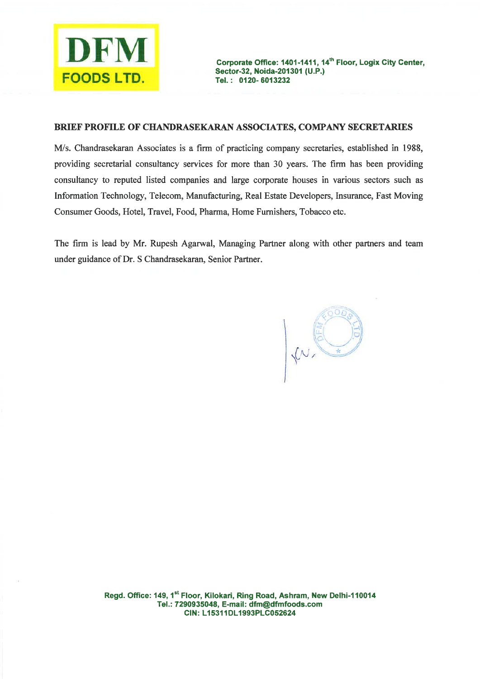

#### BRIEF PROFILE OF CHANDRASEKARAN ASSOCIATES, COMPANY SECRETARIES

M/s. Chandrasekaran Associates is a firm of practicing company secretaries, established in 1988, providing secretarial consultancy services for more than 30 years. The firm has been providing consultancy to reputed listed companies and large corporate houses in various sectors such as Information Technology, Telecom, Manufacturing, Real Estate Developers, Insurance, Fast Moving Consumer Goods, Hotel, Travel, Food, Pharma, Home Furnishers, Tobacco etc.

The firm is lead by Mr. Rupesh Agarwal, Managing Partner along with other partners and team under guidance of Dr. S Chandrasekaran, Senior Partner.

KN.

Regd. Office: 149, 1<sup>st</sup> Floor, Kilokari, Ring Road, Ashram, New Delhi-110014 Tel.: 7290935048, E-mail: dfm@dfmfoods.com CIN: L15311DL1993PLC052624